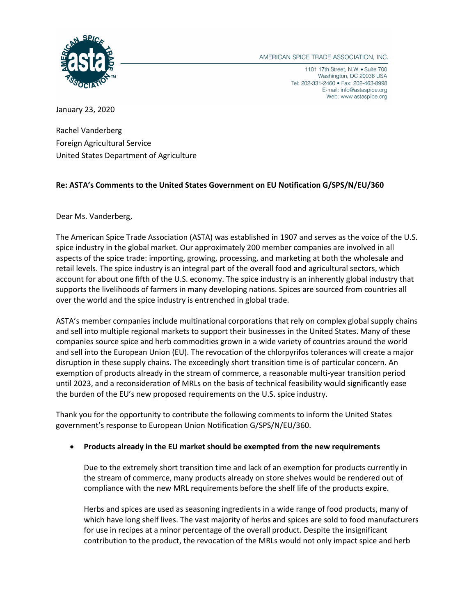

AMERICAN SPICE TRADE ASSOCIATION, INC.

1101 17th Street, N.W. • Suite 700 Washington, DC 20036 USA Tel: 202-331-2460 · Fax: 202-463-8998 E-mail: info@astaspice.org Web: www.astaspice.org

January 23, 2020

Rachel Vanderberg Foreign Agricultural Service United States Department of Agriculture

## **Re: ASTA's Comments to the United States Government on EU Notification G/SPS/N/EU/360**

Dear Ms. Vanderberg,

The American Spice Trade Association (ASTA) was established in 1907 and serves as the voice of the U.S. spice industry in the global market. Our approximately 200 member companies are involved in all aspects of the spice trade: importing, growing, processing, and marketing at both the wholesale and retail levels. The spice industry is an integral part of the overall food and agricultural sectors, which account for about one fifth of the U.S. economy. The spice industry is an inherently global industry that supports the livelihoods of farmers in many developing nations. Spices are sourced from countries all over the world and the spice industry is entrenched in global trade.

ASTA's member companies include multinational corporations that rely on complex global supply chains and sell into multiple regional markets to support their businesses in the United States. Many of these companies source spice and herb commodities grown in a wide variety of countries around the world and sell into the European Union (EU). The revocation of the chlorpyrifos tolerances will create a major disruption in these supply chains. The exceedingly short transition time is of particular concern. An exemption of products already in the stream of commerce, a reasonable multi-year transition period until 2023, and a reconsideration of MRLs on the basis of technical feasibility would significantly ease the burden of the EU's new proposed requirements on the U.S. spice industry.

Thank you for the opportunity to contribute the following comments to inform the United States government's response to European Union Notification G/SPS/N/EU/360.

## • **Products already in the EU market should be exempted from the new requirements**

Due to the extremely short transition time and lack of an exemption for products currently in the stream of commerce, many products already on store shelves would be rendered out of compliance with the new MRL requirements before the shelf life of the products expire.

Herbs and spices are used as seasoning ingredients in a wide range of food products, many of which have long shelf lives. The vast majority of herbs and spices are sold to food manufacturers for use in recipes at a minor percentage of the overall product. Despite the insignificant contribution to the product, the revocation of the MRLs would not only impact spice and herb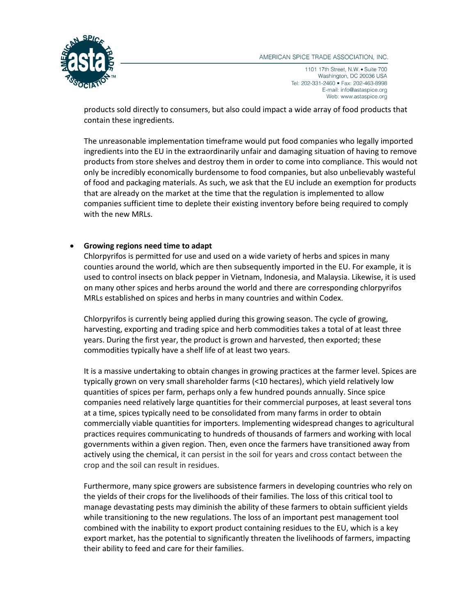

1101 17th Street, N.W. · Suite 700 Washington, DC 20036 USA Tel: 202-331-2460 · Fax: 202-463-8998 E-mail: info@astaspice.org Web: www.astaspice.org

products sold directly to consumers, but also could impact a wide array of food products that contain these ingredients.

The unreasonable implementation timeframe would put food companies who legally imported ingredients into the EU in the extraordinarily unfair and damaging situation of having to remove products from store shelves and destroy them in order to come into compliance. This would not only be incredibly economically burdensome to food companies, but also unbelievably wasteful of food and packaging materials. As such, we ask that the EU include an exemption for products that are already on the market at the time that the regulation is implemented to allow companies sufficient time to deplete their existing inventory before being required to comply with the new MRLs.

## • **Growing regions need time to adapt**

Chlorpyrifos is permitted for use and used on a wide variety of herbs and spices in many counties around the world, which are then subsequently imported in the EU. For example, it is used to control insects on black pepper in Vietnam, Indonesia, and Malaysia. Likewise, it is used on many other spices and herbs around the world and there are corresponding chlorpyrifos MRLs established on spices and herbs in many countries and within Codex.

Chlorpyrifos is currently being applied during this growing season. The cycle of growing, harvesting, exporting and trading spice and herb commodities takes a total of at least three years. During the first year, the product is grown and harvested, then exported; these commodities typically have a shelf life of at least two years.

It is a massive undertaking to obtain changes in growing practices at the farmer level. Spices are typically grown on very small shareholder farms (<10 hectares), which yield relatively low quantities of spices per farm, perhaps only a few hundred pounds annually. Since spice companies need relatively large quantities for their commercial purposes, at least several tons at a time, spices typically need to be consolidated from many farms in order to obtain commercially viable quantities for importers. Implementing widespread changes to agricultural practices requires communicating to hundreds of thousands of farmers and working with local governments within a given region. Then, even once the farmers have transitioned away from actively using the chemical, it can persist in the soil for years and cross contact between the crop and the soil can result in residues.

Furthermore, many spice growers are subsistence farmers in developing countries who rely on the yields of their crops for the livelihoods of their families. The loss of this critical tool to manage devastating pests may diminish the ability of these farmers to obtain sufficient yields while transitioning to the new regulations. The loss of an important pest management tool combined with the inability to export product containing residues to the EU, which is a key export market, has the potential to significantly threaten the livelihoods of farmers, impacting their ability to feed and care for their families.